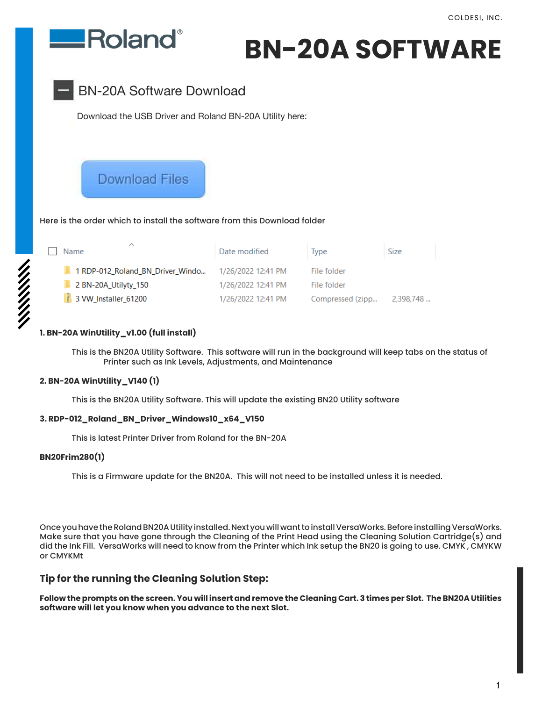

# **BN-20A SOFTWARE**



Download the USB Driver and Roland BN-20A Utility here:

# **Download Files**

### Here is the order which to install the software from this Download folder

| ∧<br>Name                        | Date modified      | Type             | Size      |
|----------------------------------|--------------------|------------------|-----------|
| 1 RDP-012 Roland BN Driver Windo | 1/26/2022 12:41 PM | File folder      |           |
| 2 BN-20A_Utilyty_150             | 1/26/2022 12:41 PM | File folder      |           |
| 3 VW_Installer_61200             | 1/26/2022 12:41 PM | Compressed (zipp | 2,398,748 |

### **1. BN-20A WinUtility\_v1.00 (full install)**

 This is the BN20A Utility Software. This software will run in the background will keep tabs on the status of Printer such as Ink Levels, Adjustments, and Maintenance

### **2. BN-20A WinUtility\_V140 (1)**

This is the BN20A Utility Software. This will update the existing BN20 Utility software

### **3. RDP-012\_Roland\_BN\_Driver\_Windows10\_x64\_V150**

This is latest Printer Driver from Roland for the BN-20A

### **BN20Frim280(1)**

This is a Firmware update for the BN20A. This will not need to be installed unless it is needed.

Once you have the Roland BN20A Utility installed. Next you will want to install VersaWorks. Before installing VersaWorks. Make sure that you have gone through the Cleaning of the Print Head using the Cleaning Solution Cartridge(s) and did the Ink Fill. VersaWorks will need to know from the Printer which Ink setup the BN20 is going to use. CMYK , CMYKW or CMYKMt

### **Tip for the running the Cleaning Solution Step:**

**Follow the prompts on the screen. You will insert and remove the Cleaning Cart. 3 times per Slot. The BN20A Utilities software will let you know when you advance to the next Slot.**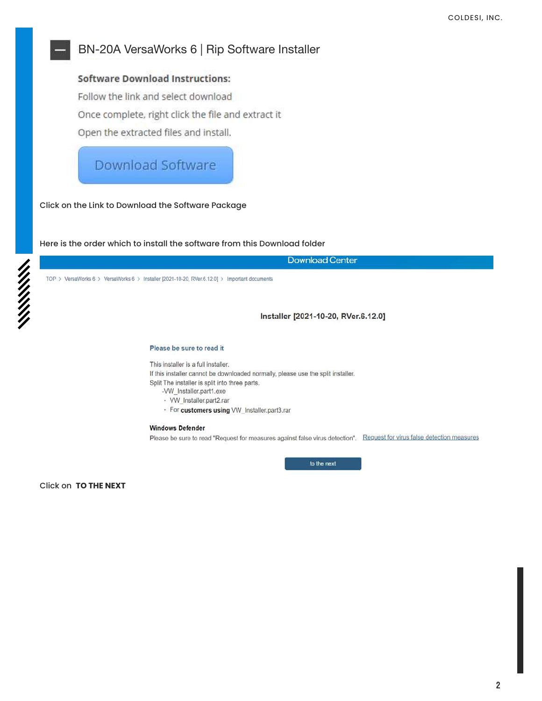### BN-20A VersaWorks 6 | Rip Software Installer

### **Software Download Instructions:**

Follow the link and select download Once complete, right click the file and extract it

Open the extracted files and install.

# **Download Software**

Click on the Link to Download the Software Package

Here is the order which to install the software from this Download folder

**Download Center** 

TOP > VersaWorks 6 > VersaWorks 6 > Installer [2021-10-20, RVer.6.12.0] > Important documents

Installer [2021-10-20, RVer.6.12.0]

### Please be sure to read it

This installer is a full installer.

If this installer cannot be downloaded normally, please use the split installer. Split The installer is split into three parts.

- -VW\_Installer.part1.exe
- · VW\_Installer.part2.rar
- · For customers using VW\_Installer.part3.rar

### **Windows Defender**

Please be sure to read "Request for measures against false virus detection". Request for virus false detection measures

to the next

**Click on TO THE NEXT**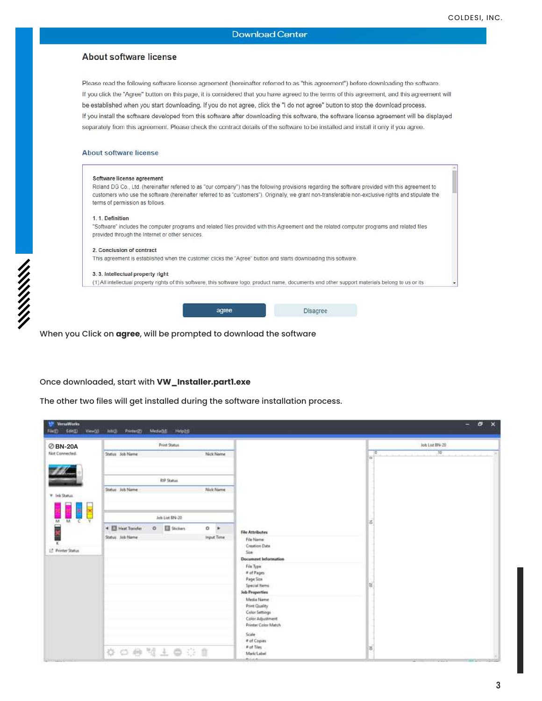### About software license

Please read the following software license agreement (hereinafter referred to as "this agreement") before downloading the software. If you click the "Agree" button on this page, it is considered that you have agreed to the terms of this agreement, and this agreement will be established when you start downloading. If you do not agree, click the "I do not agree" button to stop the download process. If you install the software developed from this software after downloading this software, the software license agreement will be displayed separately from this agreement. Please check the contract details of the software to be installed and install it only if you agree.

### About software license

| Software license agreement                       |       |                                                                                                                                                       |  |
|--------------------------------------------------|-------|-------------------------------------------------------------------------------------------------------------------------------------------------------|--|
|                                                  |       | Roland DG Co., Ltd. (hereinafter referred to as "our company") has the following provisions regarding the software provided with this agreement to    |  |
|                                                  |       | customers who use the software (hereinafter referred to as "customers"). Originally, we grant non-transferable non-exclusive rights and stipulate the |  |
| terms of permission as follows.                  |       |                                                                                                                                                       |  |
| 1. 1. Definition                                 |       |                                                                                                                                                       |  |
|                                                  |       | "Software" includes the computer programs and related files provided with this Agreement and the related computer programs and related files          |  |
| provided through the Internet or other services. |       |                                                                                                                                                       |  |
| 2. Conclusion of contract                        |       |                                                                                                                                                       |  |
|                                                  |       | This agreement is established when the customer clicks the "Agree" button and starts downloading this software.                                       |  |
| 3. 3. Intellectual property right                |       |                                                                                                                                                       |  |
|                                                  |       | (1) All intellectual property rights of this software, this software logo, product name, documents and other support materials belong to us or its    |  |
|                                                  |       |                                                                                                                                                       |  |
|                                                  |       |                                                                                                                                                       |  |
|                                                  | agree | <b>Disagree</b>                                                                                                                                       |  |

When you Click on **agree**, will be prompted to download the software

### Once downloaded, start with **VW\_Installer.part1.exe**

The other two files will get installed during the software installation process.

| <b>ØBN-20A</b>                | Print Status                                       |                   |                                                           | Job List 874-20                     |
|-------------------------------|----------------------------------------------------|-------------------|-----------------------------------------------------------|-------------------------------------|
| <b>Not Connected.</b>         | Status Job Name                                    | Nick Name         |                                                           | 35 <sub>1</sub><br>$ 0\rangle$<br>× |
|                               | <b>RP Status</b>                                   |                   |                                                           |                                     |
| <b>T.</b> Ink Status          | Status Job Name                                    | Nick Name         |                                                           |                                     |
| M                             | Job List BN-20                                     |                   |                                                           |                                     |
|                               | 50 Stickers<br>4 <b>El Heat Trander</b><br>$\circ$ | $0$ $\rightarrow$ | <b>File Attributes</b>                                    | 嵩                                   |
| 1 <sup>2</sup> Printer Status | Status Job Name                                    | trput Time        | File Name<br><b>Creation Date</b>                         |                                     |
|                               |                                                    |                   | Size<br><b>Document Information</b>                       |                                     |
|                               |                                                    |                   | File Type:<br># of Pages                                  |                                     |
|                               |                                                    |                   | Page Star<br>Special Herrs                                | 扈                                   |
|                               |                                                    |                   | Job Properties                                            |                                     |
|                               |                                                    |                   | Media Name<br>Print Quality                               |                                     |
|                               |                                                    |                   | Color Settings<br>Color Adjustment<br>Printer Color Match |                                     |
|                               |                                                    |                   | Scale<br># of Copies                                      |                                     |
|                               | ☆○● #上●※■                                          |                   | # of Tiles<br>Mark/Label                                  | 器                                   |